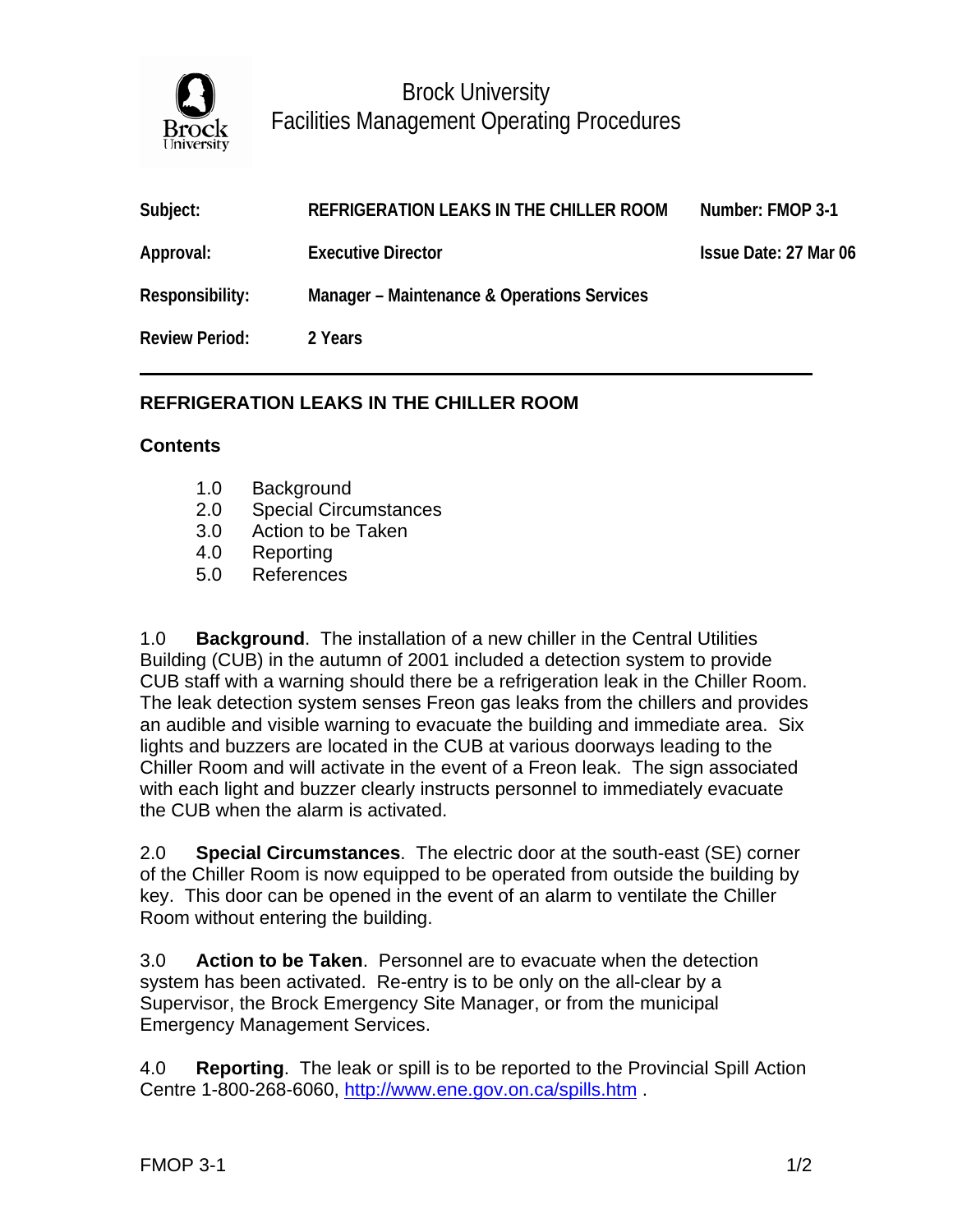

Brock University Facilities Management Operating Procedures

| Subject:              | REFRIGERATION LEAKS IN THE CHILLER ROOM     | Number: FMOP 3-1      |
|-----------------------|---------------------------------------------|-----------------------|
| Approval:             | <b>Executive Director</b>                   | Issue Date: 27 Mar 06 |
| Responsibility:       | Manager - Maintenance & Operations Services |                       |
| <b>Review Period:</b> | 2 Years                                     |                       |

## **REFRIGERATION LEAKS IN THE CHILLER ROOM**

## **Contents**

- 1.0 Background
- 2.0 Special Circumstances
- 3.0 Action to be Taken
- 4.0 Reporting
- 5.0 References

1.0 **Background**. The installation of a new chiller in the Central Utilities Building (CUB) in the autumn of 2001 included a detection system to provide CUB staff with a warning should there be a refrigeration leak in the Chiller Room. The leak detection system senses Freon gas leaks from the chillers and provides an audible and visible warning to evacuate the building and immediate area. Six lights and buzzers are located in the CUB at various doorways leading to the Chiller Room and will activate in the event of a Freon leak. The sign associated with each light and buzzer clearly instructs personnel to immediately evacuate the CUB when the alarm is activated.

2.0 **Special Circumstances**. The electric door at the south-east (SE) corner of the Chiller Room is now equipped to be operated from outside the building by key. This door can be opened in the event of an alarm to ventilate the Chiller Room without entering the building.

3.0 **Action to be Taken**. Personnel are to evacuate when the detection system has been activated. Re-entry is to be only on the all-clear by a Supervisor, the Brock Emergency Site Manager, or from the municipal Emergency Management Services.

4.0 **Reporting**. The leak or spill is to be reported to the Provincial Spill Action Centre 1-800-268-6060,<http://www.ene.gov.on.ca/spills.htm> .